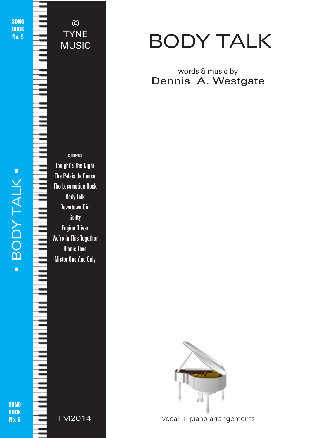SONG **BOOK** No. 5

© TYNE MUSIC

BODY TALK . • BODY TALK •

 $\bullet$ 

CONTENTS Tonight's The Night The Palais de Danse The Locomotion Rock Body Talk Downtown Girl **Guilty** Engine Driver We're In This Together Bionic Love Mister One And Only

SONG **BOOK** No. 5



# BODY TALK

# words & music by Dennis A. Westgate



© 2018 - Body Talk - TYNE MUSIC - tynemusiclimited@gmail.com © 2018 - Body Talk - TYNE MUSIC - tynemusiclimited@gmail.com

vocal + piano arrangements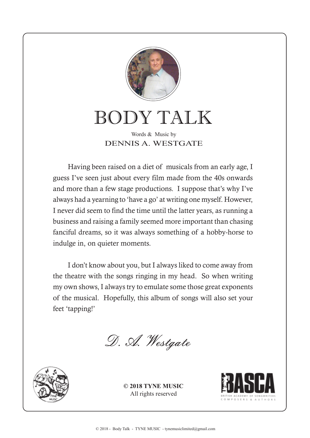

BODY TALK

### Words & Music by DENNIS A. WESTGATE

Having been raised on a diet of musicals from an early age, I guess I've seen just about every film made from the 40s onwards and more than a few stage productions. I suppose that's why I've always had a yearning to 'have a go' at writing one myself. However, I never did seem to find the time until the latter years, as running a business and raising a family seemed more important than chasing fanciful dreams, so it was always something of a hobby-horse to indulge in, on quieter moments.

I don't know about you, but I always liked to come away from the theatre with the songs ringing in my head. So when writing my own shows, I always try to emulate some those great exponents of the musical. Hopefully, this album of songs will also set your feet 'tapping!'

D. A. Westgate



**© 2018 TYNE MUSIC** All rights reserved

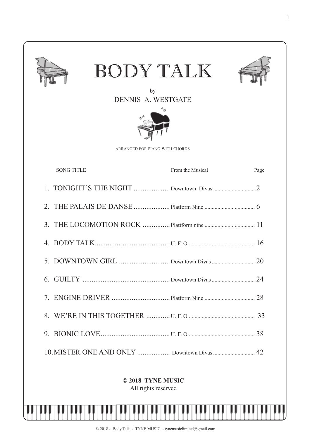| BODY TALK<br>by<br><b>DENNIS A. WESTGATE</b> |                  |      |
|----------------------------------------------|------------------|------|
| ARRANGED FOR PIANO WITH CHORDS               |                  |      |
| <b>SONG TITLE</b>                            | From the Musical | Page |
|                                              |                  |      |
|                                              |                  |      |
|                                              |                  |      |
|                                              |                  |      |
|                                              |                  |      |
|                                              |                  |      |
|                                              |                  |      |
|                                              |                  |      |
|                                              |                  |      |
| 10. MISTER ONE AND ONLY  Downtown Divas  42  |                  |      |
| © 2018 TYNE MUSIC                            |                  |      |

All rights reserved

IJ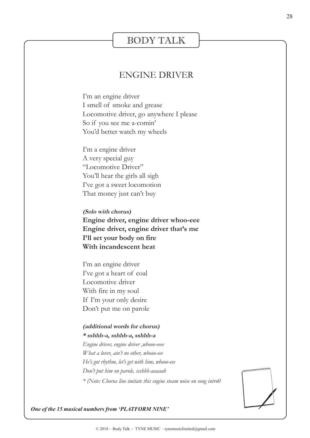## BODY TALK

#### ENGINE DRIVER

I'm an engine driver I smell of smoke and grease Locomotive driver, go anywhere I please So if you see me a-comin' You'd better watch my wheels

I'm a engine driver A very special guy "Locomotive Driver" You'll hear the girls all sigh I've got a sweet locomotion That money just can't buy

**(Solo with chorus) Engine driver, engine driver whoo-eee Engine driver, engine driver that's me I'll set your body on fire With incandescent heat**

I'm an engine driver I've got a heart of coal Locomotive driver With fire in my soul If I'm your only desire Don't put me on parole

#### **(additional words for chorus) \* sshhh-a, sshhh-a, sshhh-a**

*Engine driver, engine driver ,whooo-eeee What a lover, ain't no other, whooo-eee He's got rhythm, let's get with him, whooo-eee Don't put him on parole, ssshhh-aaaaah \* (Note: Chorus line imitate this engine steam noise on song intro0*



*One of the 15 musical numbers from 'PLATFORM NINE'*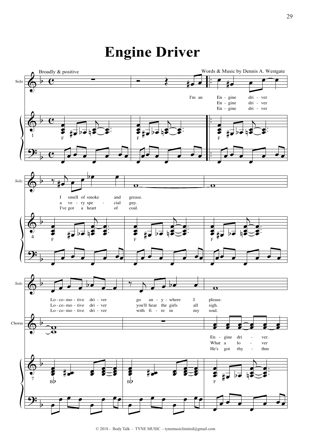# **Engine Driver**



<sup>© 2018 -</sup> Body Talk - TYNE MUSIC - tynemusiclimited@gmail.com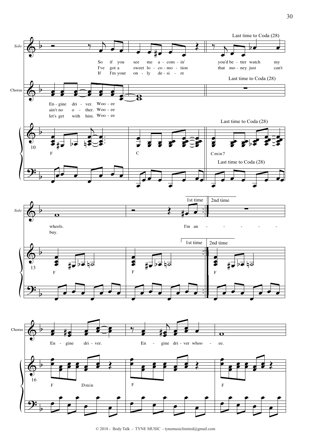

<sup>© 2018 -</sup> Body Talk - TYNE MUSIC - tynemusiclimited@gmail.com